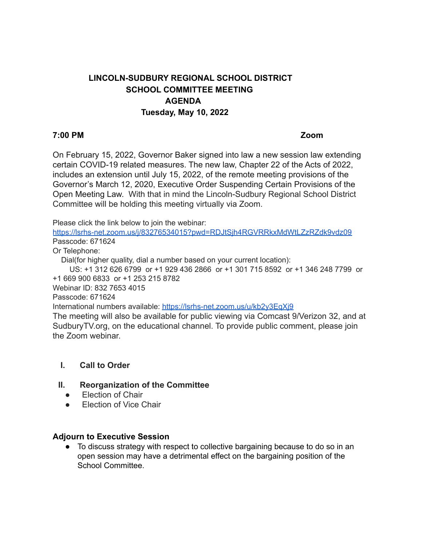# **LINCOLN-SUDBURY REGIONAL SCHOOL DISTRICT SCHOOL COMMITTEE MEETING AGENDA Tuesday, May 10, 2022**

#### **7:00 PM Zoom**

On February 15, 2022, Governor Baker signed into law a new session law extending certain COVID-19 related measures. The new law, Chapter 22 of the Acts of 2022, includes an extension until July 15, 2022, of the remote meeting provisions of the Governor's March 12, 2020, Executive Order Suspending Certain Provisions of the Open Meeting Law. With that in mind the Lincoln-Sudbury Regional School District Committee will be holding this meeting virtually via Zoom.

Please click the link below to join the webinar:

<https://lsrhs-net.zoom.us/j/83276534015?pwd=RDJtSjh4RGVRRkxMdWtLZzRZdk9vdz09> Passcode: 671624

Or Telephone:

Dial(for higher quality, dial a number based on your current location):

US: +1 312 626 6799 or +1 929 436 2866 or +1 301 715 8592 or +1 346 248 7799 or +1 669 900 6833 or +1 253 215 8782

Webinar ID: 832 7653 4015

Passcode: 671624

International numbers available: <https://lsrhs-net.zoom.us/u/kb2y3EqXj9>

The meeting will also be available for public viewing via Comcast 9/Verizon 32, and at SudburyTV.org, on the educational channel. To provide public comment, please join the Zoom webinar.

## **I. Call to Order**

#### **II. Reorganization of the Committee**

- **●** Election of Chair
- Election of Vice Chair

#### **Adjourn to Executive Session**

● To discuss strategy with respect to collective bargaining because to do so in an open session may have a detrimental effect on the bargaining position of the School Committee.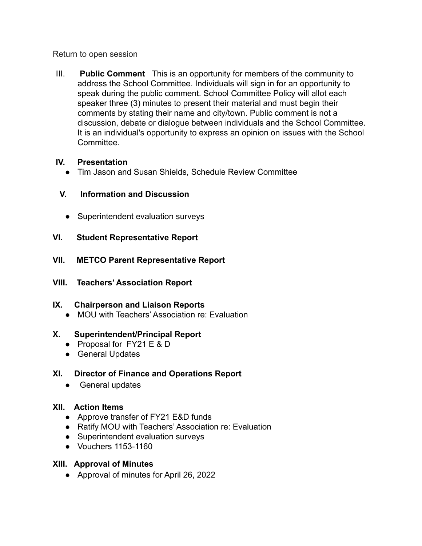Return to open session

III. **Public Comment** This is an opportunity for members of the community to address the School Committee. Individuals will sign in for an opportunity to speak during the public comment. School Committee Policy will allot each speaker three (3) minutes to present their material and must begin their comments by stating their name and city/town. Public comment is not a discussion, debate or dialogue between individuals and the School Committee. It is an individual's opportunity to express an opinion on issues with the School Committee.

## **IV. Presentation**

● Tim Jason and Susan Shields, Schedule Review Committee

## **V. Information and Discussion**

- Superintendent evaluation surveys
- **VI. Student Representative Report**
- **VII. METCO Parent Representative Report**
- **VIII. Teachers' Association Report**

## **IX. Chairperson and Liaison Reports**

● MOU with Teachers' Association re: Evaluation

## **X. Superintendent/Principal Report**

- Proposal for FY21 E & D
- General Updates

# **XI. Director of Finance and Operations Report**

• General updates

# **XII. Action Items**

- Approve transfer of FY21 E&D funds
- Ratify MOU with Teachers' Association re: Evaluation
- Superintendent evaluation surveys
- Vouchers 1153-1160

# **XIII. Approval of Minutes**

● Approval of minutes for April 26, 2022